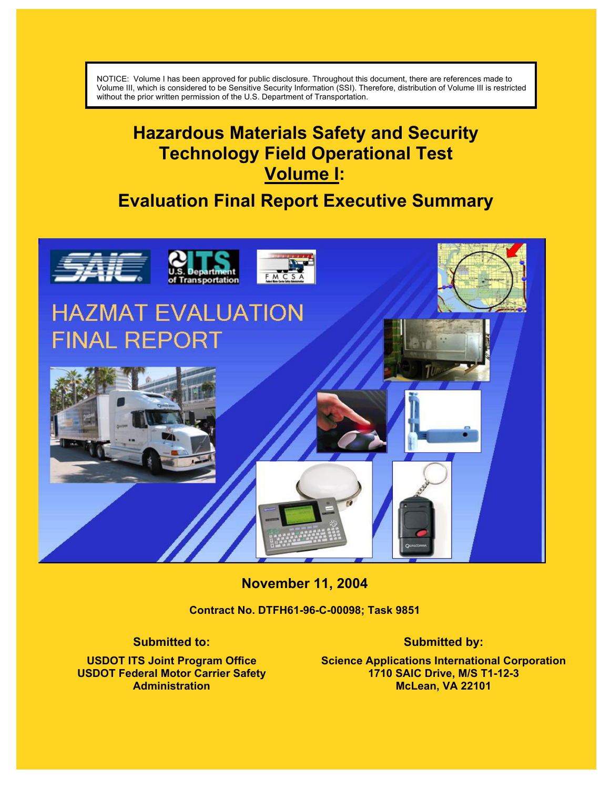NOTICE: Volume I has been approved for public disclosure. Throughout this document, there are references made to Volume III, which is considered to be Sensitive Security Information (SSI). Therefore, distribution of Volume III is restricted without the prior written permission of the U.S. Department of Transportation.

**Sensitive Security Information (SSI) – [Need to Know]** 

# **Hazardous Materials Safety and Security Technology Field Operational Test Volume I:**

# **Evaluation Final Report Executive Summary**



**November 11, 2004** 

**Contract No. DTFH61-96-C-00098; Task 9851** 

**Submitted to:** 

**USDOT ITS Joint Program Office USDOT Federal Motor Carrier Safety Administration** 

#### **Submitted by:**

**Science Applications International Corporation 1710 SAIC Drive, M/S T1-12-3 McLean, VA 22101**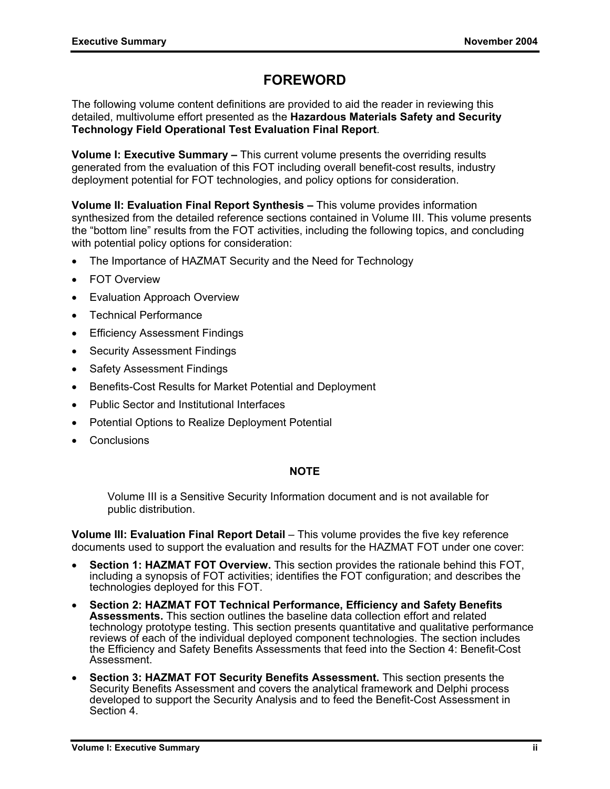# **FOREWORD**

The following volume content definitions are provided to aid the reader in reviewing this detailed, multivolume effort presented as the **Hazardous Materials Safety and Security Technology Field Operational Test Evaluation Final Report**.

**Volume I: Executive Summary –** This current volume presents the overriding results generated from the evaluation of this FOT including overall benefit-cost results, industry deployment potential for FOT technologies, and policy options for consideration.

**Volume II: Evaluation Final Report Synthesis –** This volume provides information synthesized from the detailed reference sections contained in Volume III. This volume presents the "bottom line" results from the FOT activities, including the following topics, and concluding with potential policy options for consideration:

- The Importance of HAZMAT Security and the Need for Technology
- **FOT Overview**
- **Evaluation Approach Overview**
- Technical Performance
- Efficiency Assessment Findings
- Security Assessment Findings
- **Safety Assessment Findings**
- Benefits-Cost Results for Market Potential and Deployment
- Public Sector and Institutional Interfaces
- Potential Options to Realize Deployment Potential
- **Conclusions**

#### **NOTE**

Volume III is a Sensitive Security Information document and is not available for public distribution.

**Volume III: Evaluation Final Report Detail** – This volume provides the five key reference documents used to support the evaluation and results for the HAZMAT FOT under one cover:

- **Section 1: HAZMAT FOT Overview.** This section provides the rationale behind this FOT, including a synopsis of FOT activities; identifies the FOT configuration; and describes the technologies deployed for this FOT.
- **Section 2: HAZMAT FOT Technical Performance, Efficiency and Safety Benefits Assessments.** This section outlines the baseline data collection effort and related technology prototype testing. This section presents quantitative and qualitative performance reviews of each of the individual deployed component technologies. The section includes the Efficiency and Safety Benefits Assessments that feed into the Section 4: Benefit-Cost Assessment.
- **Section 3: HAZMAT FOT Security Benefits Assessment.** This section presents the Security Benefits Assessment and covers the analytical framework and Delphi process developed to support the Security Analysis and to feed the Benefit-Cost Assessment in Section 4.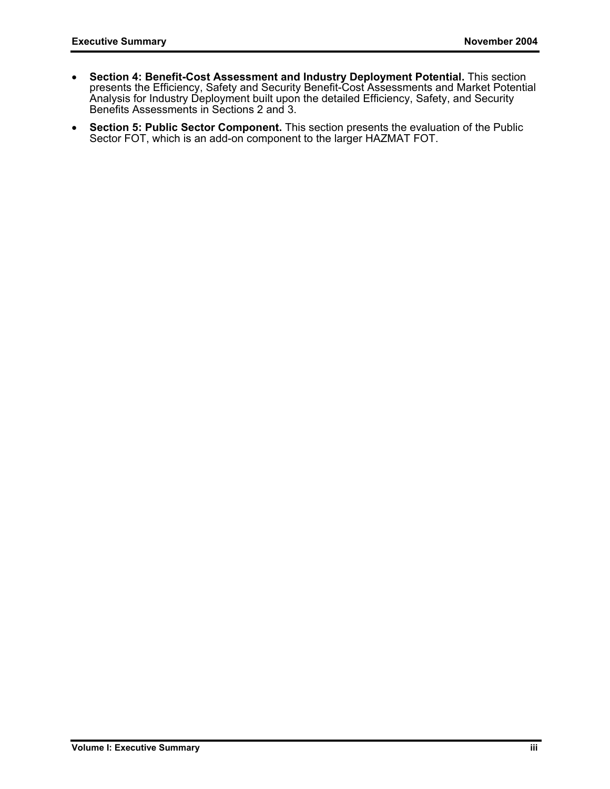- **Section 4: Benefit-Cost Assessment and Industry Deployment Potential.** This section presents the Efficiency, Safety and Security Benefit-Cost Assessments and Market Potential Analysis for Industry Deployment built upon the detailed Efficiency, Safety, and Security Benefits Assessments in Sections 2 and 3.
- **Section 5: Public Sector Component.** This section presents the evaluation of the Public Sector FOT, which is an add-on component to the larger HAZMAT FOT.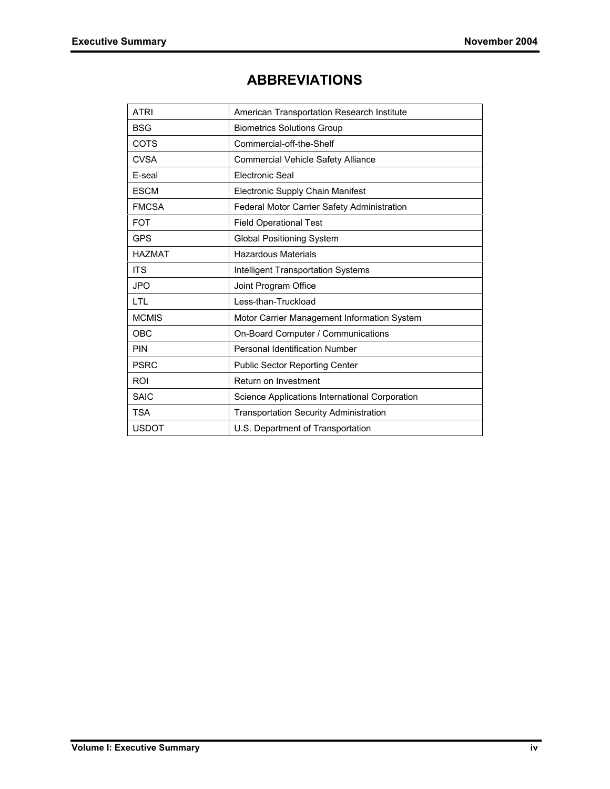# **ABBREVIATIONS**

| <b>ATRI</b>   | American Transportation Research Institute     |  |
|---------------|------------------------------------------------|--|
| <b>BSG</b>    | <b>Biometrics Solutions Group</b>              |  |
| COTS          | Commercial-off-the-Shelf                       |  |
| <b>CVSA</b>   | <b>Commercial Vehicle Safety Alliance</b>      |  |
| E-seal        | <b>Electronic Seal</b>                         |  |
| <b>ESCM</b>   | Electronic Supply Chain Manifest               |  |
| <b>FMCSA</b>  | Federal Motor Carrier Safety Administration    |  |
| <b>FOT</b>    | <b>Field Operational Test</b>                  |  |
| <b>GPS</b>    | <b>Global Positioning System</b>               |  |
| <b>HAZMAT</b> | <b>Hazardous Materials</b>                     |  |
| <b>ITS</b>    | <b>Intelligent Transportation Systems</b>      |  |
| <b>JPO</b>    | Joint Program Office                           |  |
| LTL           | Less-than-Truckload                            |  |
| <b>MCMIS</b>  | Motor Carrier Management Information System    |  |
| OBC           | On-Board Computer / Communications             |  |
| <b>PIN</b>    | Personal Identification Number                 |  |
| <b>PSRC</b>   | <b>Public Sector Reporting Center</b>          |  |
| <b>ROI</b>    | Return on Investment                           |  |
| <b>SAIC</b>   | Science Applications International Corporation |  |
| <b>TSA</b>    | <b>Transportation Security Administration</b>  |  |
| <b>USDOT</b>  | U.S. Department of Transportation              |  |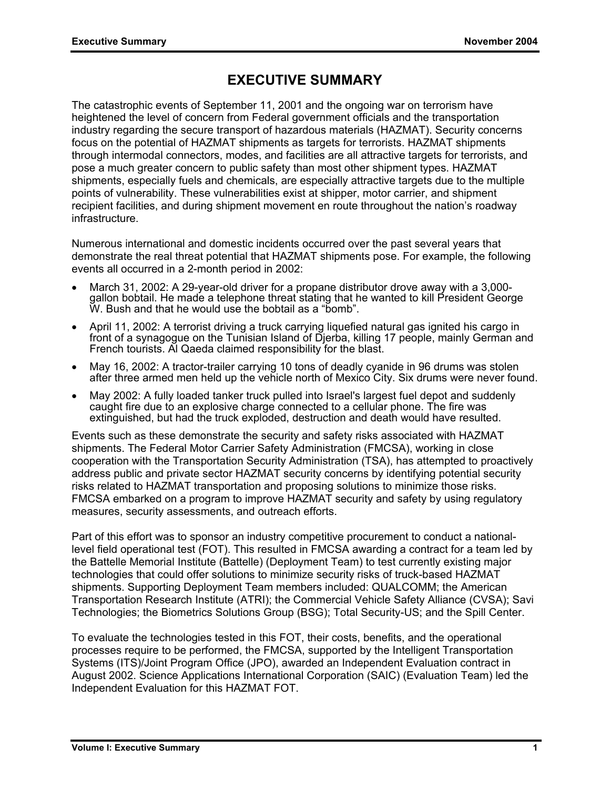# **EXECUTIVE SUMMARY**

The catastrophic events of September 11, 2001 and the ongoing war on terrorism have heightened the level of concern from Federal government officials and the transportation industry regarding the secure transport of hazardous materials (HAZMAT). Security concerns focus on the potential of HAZMAT shipments as targets for terrorists. HAZMAT shipments through intermodal connectors, modes, and facilities are all attractive targets for terrorists, and pose a much greater concern to public safety than most other shipment types. HAZMAT shipments, especially fuels and chemicals, are especially attractive targets due to the multiple points of vulnerability. These vulnerabilities exist at shipper, motor carrier, and shipment recipient facilities, and during shipment movement en route throughout the nation's roadway infrastructure.

Numerous international and domestic incidents occurred over the past several years that demonstrate the real threat potential that HAZMAT shipments pose. For example, the following events all occurred in a 2-month period in 2002:

- March 31, 2002: A 29-year-old driver for a propane distributor drove away with a 3,000 gallon bobtail. He made a telephone threat stating that he wanted to kill President George W. Bush and that he would use the bobtail as a "bomb".
- April 11, 2002: A terrorist driving a truck carrying liquefied natural gas ignited his cargo in front of a synagogue on the Tunisian Island of Djerba, killing 17 people, mainly German and French tourists. Al Qaeda claimed responsibility for the blast.
- May 16, 2002: A tractor-trailer carrying 10 tons of deadly cyanide in 96 drums was stolen after three armed men held up the vehicle north of Mexico City. Six drums were never found.
- May 2002: A fully loaded tanker truck pulled into Israel's largest fuel depot and suddenly caught fire due to an explosive charge connected to a cellular phone. The fire was extinguished, but had the truck exploded, destruction and death would have resulted.

Events such as these demonstrate the security and safety risks associated with HAZMAT shipments. The Federal Motor Carrier Safety Administration (FMCSA), working in close cooperation with the Transportation Security Administration (TSA), has attempted to proactively address public and private sector HAZMAT security concerns by identifying potential security risks related to HAZMAT transportation and proposing solutions to minimize those risks. FMCSA embarked on a program to improve HAZMAT security and safety by using regulatory measures, security assessments, and outreach efforts.

Part of this effort was to sponsor an industry competitive procurement to conduct a nationallevel field operational test (FOT). This resulted in FMCSA awarding a contract for a team led by the Battelle Memorial Institute (Battelle) (Deployment Team) to test currently existing major technologies that could offer solutions to minimize security risks of truck-based HAZMAT shipments. Supporting Deployment Team members included: QUALCOMM; the American Transportation Research Institute (ATRI); the Commercial Vehicle Safety Alliance (CVSA); Savi Technologies; the Biometrics Solutions Group (BSG); Total Security-US; and the Spill Center.

To evaluate the technologies tested in this FOT, their costs, benefits, and the operational processes require to be performed, the FMCSA, supported by the Intelligent Transportation Systems (ITS)/Joint Program Office (JPO), awarded an Independent Evaluation contract in August 2002. Science Applications International Corporation (SAIC) (Evaluation Team) led the Independent Evaluation for this HAZMAT FOT.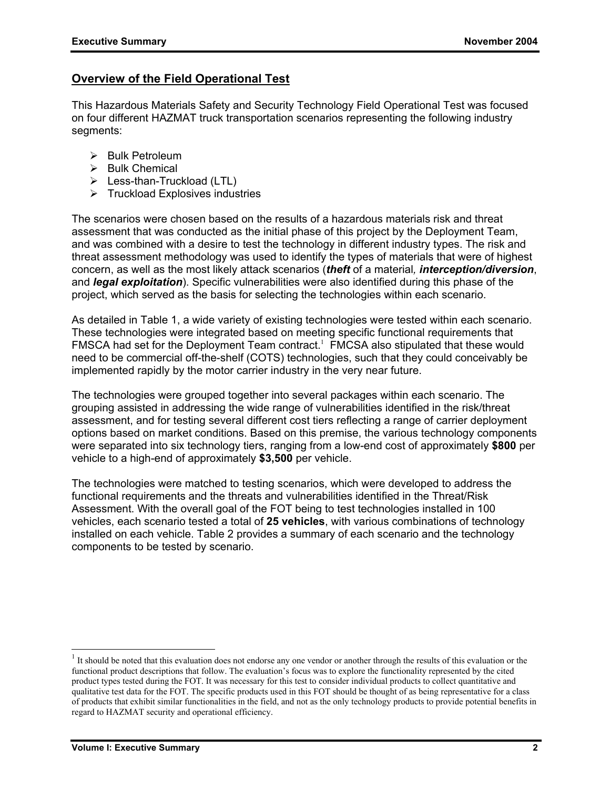## **Overview of the Field Operational Test**

This Hazardous Materials Safety and Security Technology Field Operational Test was focused on four different HAZMAT truck transportation scenarios representing the following industry segments:

- $\triangleright$  Bulk Petroleum
- $\triangleright$  Bulk Chemical
- $\triangleright$  Less-than-Truckload (LTL)
- $\triangleright$  Truckload Explosives industries

The scenarios were chosen based on the results of a hazardous materials risk and threat assessment that was conducted as the initial phase of this project by the Deployment Team, and was combined with a desire to test the technology in different industry types. The risk and threat assessment methodology was used to identify the types of materials that were of highest concern, as well as the most likely attack scenarios (*theft* of a material*, interception/diversion*, and *legal exploitation*). Specific vulnerabilities were also identified during this phase of the project, which served as the basis for selecting the technologies within each scenario.

As detailed in Table 1, a wide variety of existing technologies were tested within each scenario. These technologies were integrated based on meeting specific functional requirements that FMSCA had set for the Deployment Team contract.<sup>1</sup> FMCSA also stipulated that these would need to be commercial off-the-shelf (COTS) technologies, such that they could conceivably be implemented rapidly by the motor carrier industry in the very near future.

The technologies were grouped together into several packages within each scenario. The grouping assisted in addressing the wide range of vulnerabilities identified in the risk/threat assessment, and for testing several different cost tiers reflecting a range of carrier deployment options based on market conditions. Based on this premise, the various technology components were separated into six technology tiers, ranging from a low-end cost of approximately **\$800** per vehicle to a high-end of approximately **\$3,500** per vehicle.

The technologies were matched to testing scenarios, which were developed to address the functional requirements and the threats and vulnerabilities identified in the Threat/Risk Assessment. With the overall goal of the FOT being to test technologies installed in 100 vehicles, each scenario tested a total of **25 vehicles**, with various combinations of technology installed on each vehicle. Table 2 provides a summary of each scenario and the technology components to be tested by scenario.

 $1$  It should be noted that this evaluation does not endorse any one vendor or another through the results of this evaluation or the functional product descriptions that follow. The evaluation's focus was to explore the functionality represented by the cited product types tested during the FOT. It was necessary for this test to consider individual products to collect quantitative and qualitative test data for the FOT. The specific products used in this FOT should be thought of as being representative for a class of products that exhibit similar functionalities in the field, and not as the only technology products to provide potential benefits in regard to HAZMAT security and operational efficiency.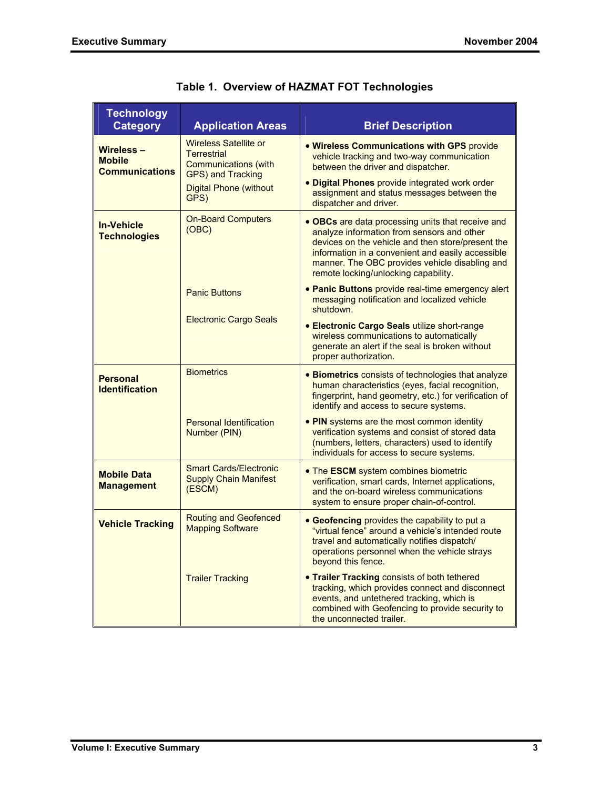| <b>Technology</b><br><b>Category</b>                | <b>Application Areas</b>                                                                                                                        | <b>Brief Description</b>                                                                                                                                                                                                                                                                            |
|-----------------------------------------------------|-------------------------------------------------------------------------------------------------------------------------------------------------|-----------------------------------------------------------------------------------------------------------------------------------------------------------------------------------------------------------------------------------------------------------------------------------------------------|
| Wireless-<br><b>Mobile</b><br><b>Communications</b> | <b>Wireless Satellite or</b><br><b>Terrestrial</b><br><b>Communications (with</b><br>GPS) and Tracking<br><b>Digital Phone (without</b><br>GPS) | . Wireless Communications with GPS provide<br>vehicle tracking and two-way communication<br>between the driver and dispatcher.<br>. Digital Phones provide integrated work order<br>assignment and status messages between the<br>dispatcher and driver.                                            |
| <b>In-Vehicle</b><br><b>Technologies</b>            | <b>On-Board Computers</b><br>(OBC)                                                                                                              | • OBCs are data processing units that receive and<br>analyze information from sensors and other<br>devices on the vehicle and then store/present the<br>information in a convenient and easily accessible<br>manner. The OBC provides vehicle disabling and<br>remote locking/unlocking capability. |
|                                                     | <b>Panic Buttons</b>                                                                                                                            | • Panic Buttons provide real-time emergency alert<br>messaging notification and localized vehicle<br>shutdown.                                                                                                                                                                                      |
|                                                     | <b>Electronic Cargo Seals</b>                                                                                                                   | <b>• Electronic Cargo Seals utilize short-range</b><br>wireless communications to automatically<br>generate an alert if the seal is broken without<br>proper authorization.                                                                                                                         |
| <b>Personal</b><br><b>Identification</b>            | <b>Biometrics</b>                                                                                                                               | • Biometrics consists of technologies that analyze<br>human characteristics (eyes, facial recognition,<br>fingerprint, hand geometry, etc.) for verification of<br>identify and access to secure systems.                                                                                           |
|                                                     | <b>Personal Identification</b><br>Number (PIN)                                                                                                  | • PIN systems are the most common identity<br>verification systems and consist of stored data<br>(numbers, letters, characters) used to identify<br>individuals for access to secure systems.                                                                                                       |
| <b>Mobile Data</b><br><b>Management</b>             | <b>Smart Cards/Electronic</b><br><b>Supply Chain Manifest</b><br>(ESCM)                                                                         | • The ESCM system combines biometric<br>verification, smart cards, Internet applications,<br>and the on-board wireless communications<br>system to ensure proper chain-of-control.                                                                                                                  |
| <b>Vehicle Tracking</b>                             | <b>Routing and Geofenced</b><br><b>Mapping Software</b>                                                                                         | • Geofencing provides the capability to put a<br>"virtual fence" around a vehicle's intended route<br>travel and automatically notifies dispatch/<br>operations personnel when the vehicle strays<br>beyond this fence.                                                                             |
|                                                     | <b>Trailer Tracking</b>                                                                                                                         | • Trailer Tracking consists of both tethered<br>tracking, which provides connect and disconnect<br>events, and untethered tracking, which is<br>combined with Geofencing to provide security to<br>the unconnected trailer.                                                                         |

|  |  | Table 1. Overview of HAZMAT FOT Technologies |  |
|--|--|----------------------------------------------|--|
|--|--|----------------------------------------------|--|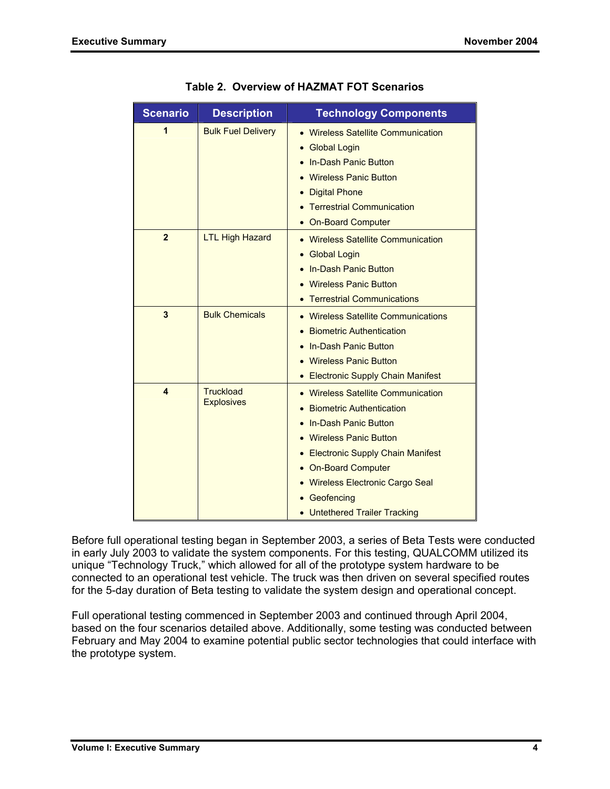| <b>Scenario</b> | <b>Description</b>                    | <b>Technology Components</b>                                                                                                                                                                                                                                                       |
|-----------------|---------------------------------------|------------------------------------------------------------------------------------------------------------------------------------------------------------------------------------------------------------------------------------------------------------------------------------|
| 1               | <b>Bulk Fuel Delivery</b>             | • Wireless Satellite Communication<br><b>Global Login</b><br>In-Dash Panic Button<br><b>Wireless Panic Button</b><br><b>Digital Phone</b><br>• Terrestrial Communication<br><b>On-Board Computer</b>                                                                               |
| $\mathbf{2}$    | <b>LTL High Hazard</b>                | • Wireless Satellite Communication<br><b>Global Login</b><br><b>In-Dash Panic Button</b><br><b>Wireless Panic Button</b><br>• Terrestrial Communications                                                                                                                           |
| 3               | <b>Bulk Chemicals</b>                 | • Wireless Satellite Communications<br><b>Biometric Authentication</b><br>In-Dash Panic Button<br><b>Wireless Panic Button</b><br>• Electronic Supply Chain Manifest                                                                                                               |
| 4               | <b>Truckload</b><br><b>Explosives</b> | <b>Wireless Satellite Communication</b><br><b>Biometric Authentication</b><br>In-Dash Panic Button<br><b>Wireless Panic Button</b><br>• Electronic Supply Chain Manifest<br>• On-Board Computer<br>• Wireless Electronic Cargo Seal<br>Geofencing<br>• Untethered Trailer Tracking |

**Table 2. Overview of HAZMAT FOT Scenarios** 

Before full operational testing began in September 2003, a series of Beta Tests were conducted in early July 2003 to validate the system components. For this testing, QUALCOMM utilized its unique "Technology Truck," which allowed for all of the prototype system hardware to be connected to an operational test vehicle. The truck was then driven on several specified routes for the 5-day duration of Beta testing to validate the system design and operational concept.

Full operational testing commenced in September 2003 and continued through April 2004, based on the four scenarios detailed above. Additionally, some testing was conducted between February and May 2004 to examine potential public sector technologies that could interface with the prototype system.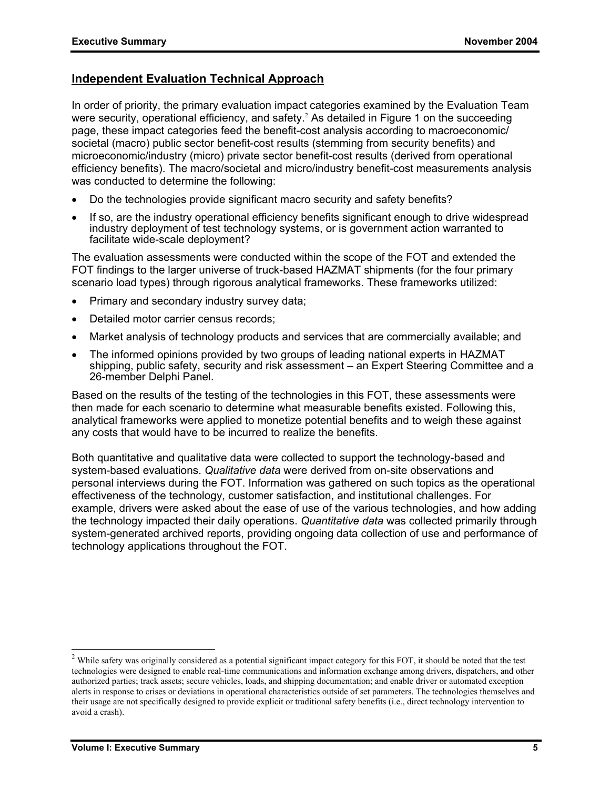# **Independent Evaluation Technical Approach**

In order of priority, the primary evaluation impact categories examined by the Evaluation Team were security, operational efficiency, and safety.<sup>2</sup> As detailed in Figure 1 on the succeeding page, these impact categories feed the benefit-cost analysis according to macroeconomic/ societal (macro) public sector benefit-cost results (stemming from security benefits) and microeconomic/industry (micro) private sector benefit-cost results (derived from operational efficiency benefits). The macro/societal and micro/industry benefit-cost measurements analysis was conducted to determine the following:

- Do the technologies provide significant macro security and safety benefits?
- If so, are the industry operational efficiency benefits significant enough to drive widespread industry deployment of test technology systems, or is government action warranted to facilitate wide-scale deployment?

The evaluation assessments were conducted within the scope of the FOT and extended the FOT findings to the larger universe of truck-based HAZMAT shipments (for the four primary scenario load types) through rigorous analytical frameworks. These frameworks utilized:

- Primary and secondary industry survey data;
- Detailed motor carrier census records:
- Market analysis of technology products and services that are commercially available; and
- The informed opinions provided by two groups of leading national experts in HAZMAT shipping, public safety, security and risk assessment – an Expert Steering Committee and a 26-member Delphi Panel.

Based on the results of the testing of the technologies in this FOT, these assessments were then made for each scenario to determine what measurable benefits existed. Following this, analytical frameworks were applied to monetize potential benefits and to weigh these against any costs that would have to be incurred to realize the benefits.

Both quantitative and qualitative data were collected to support the technology-based and system-based evaluations. *Qualitative data* were derived from on-site observations and personal interviews during the FOT. Information was gathered on such topics as the operational effectiveness of the technology, customer satisfaction, and institutional challenges. For example, drivers were asked about the ease of use of the various technologies, and how adding the technology impacted their daily operations. *Quantitative data* was collected primarily through system-generated archived reports, providing ongoing data collection of use and performance of technology applications throughout the FOT.

<sup>&</sup>lt;sup>2</sup> While safety was originally considered as a potential significant impact category for this FOT, it should be noted that the test technologies were designed to enable real-time communications and information exchange among drivers, dispatchers, and other authorized parties; track assets; secure vehicles, loads, and shipping documentation; and enable driver or automated exception alerts in response to crises or deviations in operational characteristics outside of set parameters. The technologies themselves and their usage are not specifically designed to provide explicit or traditional safety benefits (i.e., direct technology intervention to avoid a crash).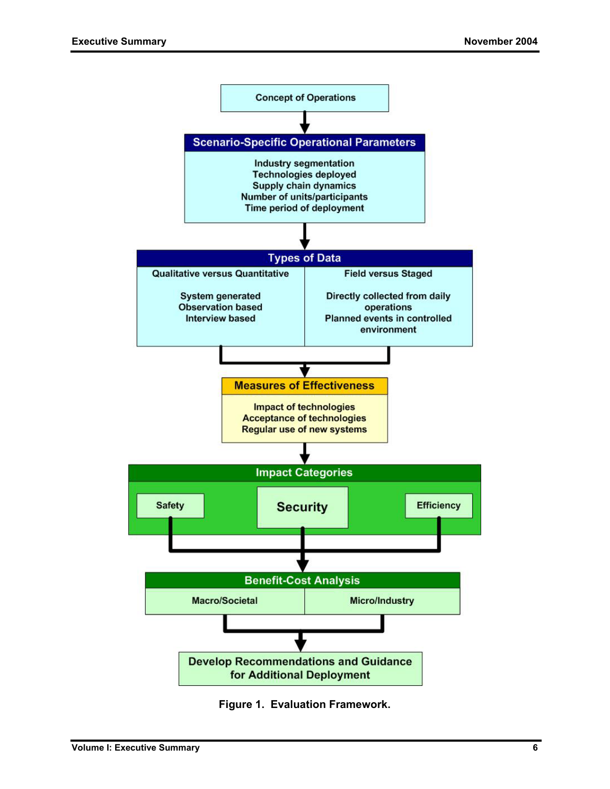

**Figure 1. Evaluation Framework.**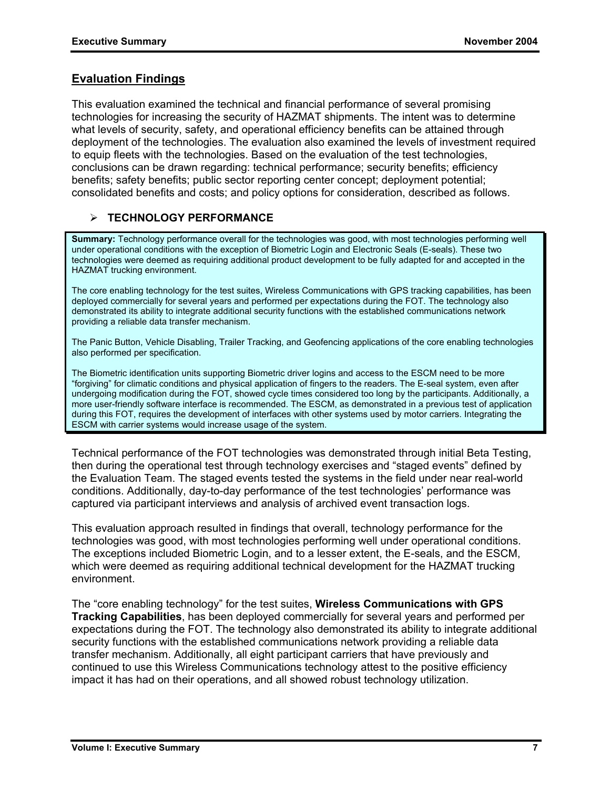## **Evaluation Findings**

This evaluation examined the technical and financial performance of several promising technologies for increasing the security of HAZMAT shipments. The intent was to determine what levels of security, safety, and operational efficiency benefits can be attained through deployment of the technologies. The evaluation also examined the levels of investment required to equip fleets with the technologies. Based on the evaluation of the test technologies, conclusions can be drawn regarding: technical performance; security benefits; efficiency benefits; safety benefits; public sector reporting center concept; deployment potential; consolidated benefits and costs; and policy options for consideration, described as follows.

#### ¾ **TECHNOLOGY PERFORMANCE**

**Summary:** Technology performance overall for the technologies was good, with most technologies performing well under operational conditions with the exception of Biometric Login and Electronic Seals (E-seals). These two technologies were deemed as requiring additional product development to be fully adapted for and accepted in the HAZMAT trucking environment.

The core enabling technology for the test suites, Wireless Communications with GPS tracking capabilities, has been deployed commercially for several years and performed per expectations during the FOT. The technology also demonstrated its ability to integrate additional security functions with the established communications network providing a reliable data transfer mechanism.

The Panic Button, Vehicle Disabling, Trailer Tracking, and Geofencing applications of the core enabling technologies also performed per specification.

The Biometric identification units supporting Biometric driver logins and access to the ESCM need to be more "forgiving" for climatic conditions and physical application of fingers to the readers. The E-seal system, even after undergoing modification during the FOT, showed cycle times considered too long by the participants. Additionally, a more user-friendly software interface is recommended. The ESCM, as demonstrated in a previous test of application during this FOT, requires the development of interfaces with other systems used by motor carriers. Integrating the ESCM with carrier systems would increase usage of the system.

Technical performance of the FOT technologies was demonstrated through initial Beta Testing, then during the operational test through technology exercises and "staged events" defined by the Evaluation Team. The staged events tested the systems in the field under near real-world conditions. Additionally, day-to-day performance of the test technologies' performance was captured via participant interviews and analysis of archived event transaction logs.

This evaluation approach resulted in findings that overall, technology performance for the technologies was good, with most technologies performing well under operational conditions. The exceptions included Biometric Login, and to a lesser extent, the E-seals, and the ESCM, which were deemed as requiring additional technical development for the HAZMAT trucking environment.

The "core enabling technology" for the test suites, **Wireless Communications with GPS Tracking Capabilities**, has been deployed commercially for several years and performed per expectations during the FOT. The technology also demonstrated its ability to integrate additional security functions with the established communications network providing a reliable data transfer mechanism. Additionally, all eight participant carriers that have previously and continued to use this Wireless Communications technology attest to the positive efficiency impact it has had on their operations, and all showed robust technology utilization.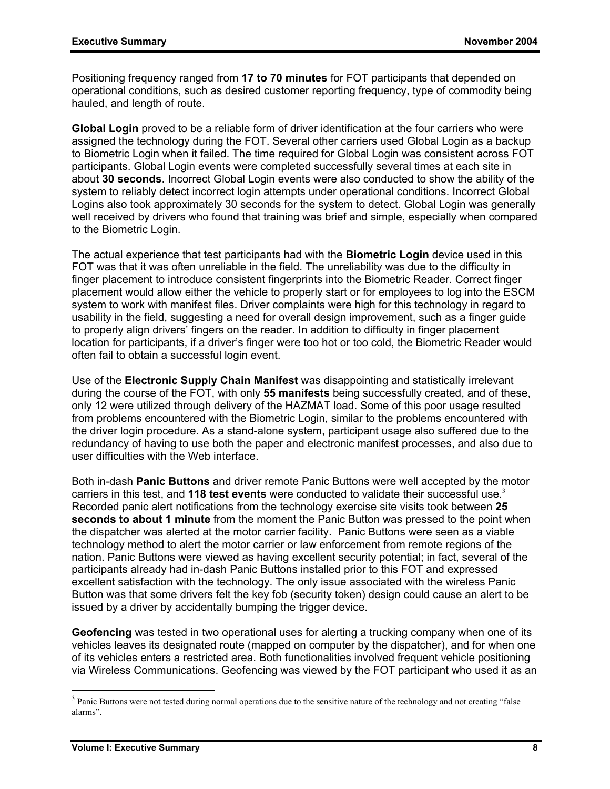Positioning frequency ranged from **17 to 70 minutes** for FOT participants that depended on operational conditions, such as desired customer reporting frequency, type of commodity being hauled, and length of route.

**Global Login** proved to be a reliable form of driver identification at the four carriers who were assigned the technology during the FOT. Several other carriers used Global Login as a backup to Biometric Login when it failed. The time required for Global Login was consistent across FOT participants. Global Login events were completed successfully several times at each site in about **30 seconds**. Incorrect Global Login events were also conducted to show the ability of the system to reliably detect incorrect login attempts under operational conditions. Incorrect Global Logins also took approximately 30 seconds for the system to detect. Global Login was generally well received by drivers who found that training was brief and simple, especially when compared to the Biometric Login.

The actual experience that test participants had with the **Biometric Login** device used in this FOT was that it was often unreliable in the field. The unreliability was due to the difficulty in finger placement to introduce consistent fingerprints into the Biometric Reader. Correct finger placement would allow either the vehicle to properly start or for employees to log into the ESCM system to work with manifest files. Driver complaints were high for this technology in regard to usability in the field, suggesting a need for overall design improvement, such as a finger guide to properly align drivers' fingers on the reader. In addition to difficulty in finger placement location for participants, if a driver's finger were too hot or too cold, the Biometric Reader would often fail to obtain a successful login event.

Use of the **Electronic Supply Chain Manifest** was disappointing and statistically irrelevant during the course of the FOT, with only **55 manifests** being successfully created, and of these, only 12 were utilized through delivery of the HAZMAT load. Some of this poor usage resulted from problems encountered with the Biometric Login, similar to the problems encountered with the driver login procedure. As a stand-alone system, participant usage also suffered due to the redundancy of having to use both the paper and electronic manifest processes, and also due to user difficulties with the Web interface.

Both in-dash **Panic Buttons** and driver remote Panic Buttons were well accepted by the motor carriers in this test, and 118 test events were conducted to validate their successful use.<sup>3</sup> Recorded panic alert notifications from the technology exercise site visits took between **25 seconds to about 1 minute** from the moment the Panic Button was pressed to the point when the dispatcher was alerted at the motor carrier facility. Panic Buttons were seen as a viable technology method to alert the motor carrier or law enforcement from remote regions of the nation. Panic Buttons were viewed as having excellent security potential; in fact, several of the participants already had in-dash Panic Buttons installed prior to this FOT and expressed excellent satisfaction with the technology. The only issue associated with the wireless Panic Button was that some drivers felt the key fob (security token) design could cause an alert to be issued by a driver by accidentally bumping the trigger device.

**Geofencing** was tested in two operational uses for alerting a trucking company when one of its vehicles leaves its designated route (mapped on computer by the dispatcher), and for when one of its vehicles enters a restricted area. Both functionalities involved frequent vehicle positioning via Wireless Communications. Geofencing was viewed by the FOT participant who used it as an

-

 $3$  Panic Buttons were not tested during normal operations due to the sensitive nature of the technology and not creating "false" alarms".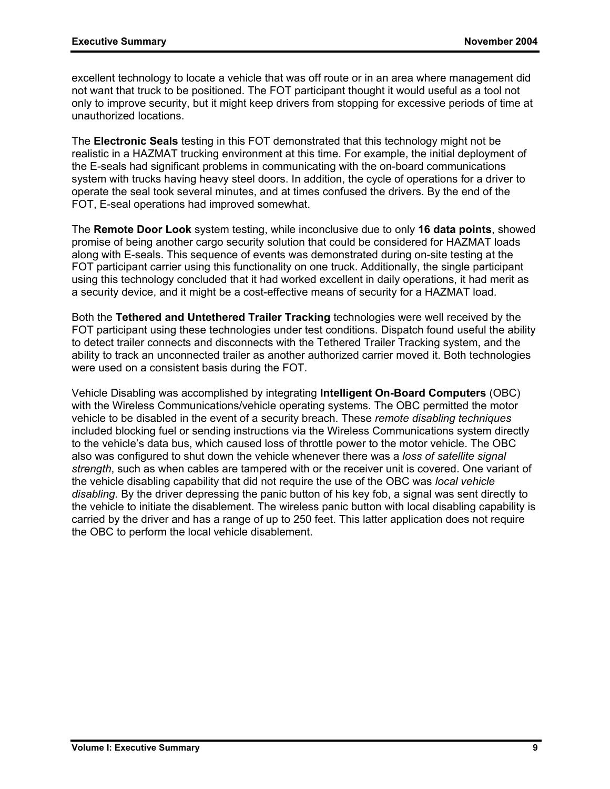excellent technology to locate a vehicle that was off route or in an area where management did not want that truck to be positioned. The FOT participant thought it would useful as a tool not only to improve security, but it might keep drivers from stopping for excessive periods of time at unauthorized locations.

The **Electronic Seals** testing in this FOT demonstrated that this technology might not be realistic in a HAZMAT trucking environment at this time. For example, the initial deployment of the E-seals had significant problems in communicating with the on-board communications system with trucks having heavy steel doors. In addition, the cycle of operations for a driver to operate the seal took several minutes, and at times confused the drivers. By the end of the FOT, E-seal operations had improved somewhat.

The **Remote Door Look** system testing, while inconclusive due to only **16 data points**, showed promise of being another cargo security solution that could be considered for HAZMAT loads along with E-seals. This sequence of events was demonstrated during on-site testing at the FOT participant carrier using this functionality on one truck. Additionally, the single participant using this technology concluded that it had worked excellent in daily operations, it had merit as a security device, and it might be a cost-effective means of security for a HAZMAT load.

Both the **Tethered and Untethered Trailer Tracking** technologies were well received by the FOT participant using these technologies under test conditions. Dispatch found useful the ability to detect trailer connects and disconnects with the Tethered Trailer Tracking system, and the ability to track an unconnected trailer as another authorized carrier moved it. Both technologies were used on a consistent basis during the FOT.

Vehicle Disabling was accomplished by integrating **Intelligent On-Board Computers** (OBC) with the Wireless Communications/vehicle operating systems. The OBC permitted the motor vehicle to be disabled in the event of a security breach. These *remote disabling techniques* included blocking fuel or sending instructions via the Wireless Communications system directly to the vehicle's data bus, which caused loss of throttle power to the motor vehicle. The OBC also was configured to shut down the vehicle whenever there was a *loss of satellite signal strength*, such as when cables are tampered with or the receiver unit is covered. One variant of the vehicle disabling capability that did not require the use of the OBC was *local vehicle disabling*. By the driver depressing the panic button of his key fob, a signal was sent directly to the vehicle to initiate the disablement. The wireless panic button with local disabling capability is carried by the driver and has a range of up to 250 feet. This latter application does not require the OBC to perform the local vehicle disablement.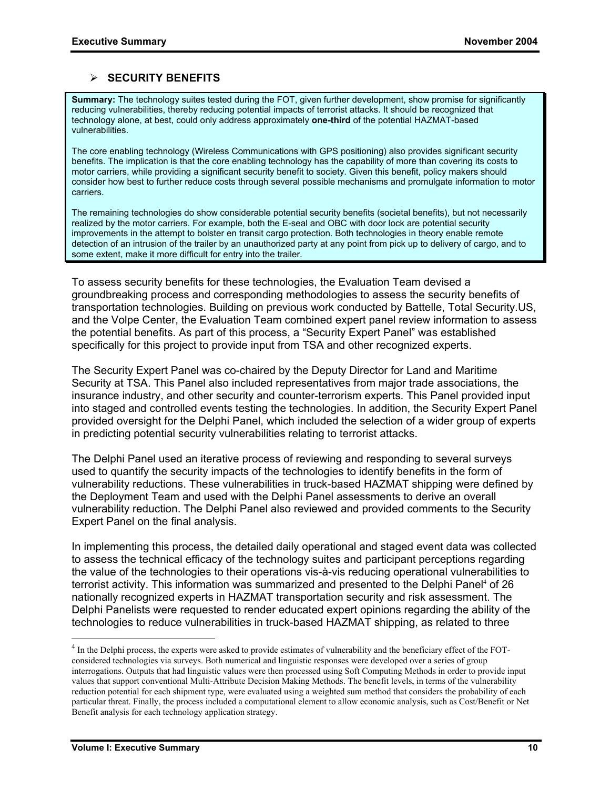#### ¾ **SECURITY BENEFITS**

**Summary:** The technology suites tested during the FOT, given further development, show promise for significantly reducing vulnerabilities, thereby reducing potential impacts of terrorist attacks. It should be recognized that technology alone, at best, could only address approximately **one-third** of the potential HAZMAT-based vulnerabilities.

The core enabling technology (Wireless Communications with GPS positioning) also provides significant security benefits. The implication is that the core enabling technology has the capability of more than covering its costs to motor carriers, while providing a significant security benefit to society. Given this benefit, policy makers should consider how best to further reduce costs through several possible mechanisms and promulgate information to motor carriers.

The remaining technologies do show considerable potential security benefits (societal benefits), but not necessarily realized by the motor carriers. For example, both the E-seal and OBC with door lock are potential security improvements in the attempt to bolster en transit cargo protection. Both technologies in theory enable remote detection of an intrusion of the trailer by an unauthorized party at any point from pick up to delivery of cargo, and to some extent, make it more difficult for entry into the trailer.

To assess security benefits for these technologies, the Evaluation Team devised a groundbreaking process and corresponding methodologies to assess the security benefits of transportation technologies. Building on previous work conducted by Battelle, Total Security.US, and the Volpe Center, the Evaluation Team combined expert panel review information to assess the potential benefits. As part of this process, a "Security Expert Panel" was established specifically for this project to provide input from TSA and other recognized experts.

The Security Expert Panel was co-chaired by the Deputy Director for Land and Maritime Security at TSA. This Panel also included representatives from major trade associations, the insurance industry, and other security and counter-terrorism experts. This Panel provided input into staged and controlled events testing the technologies. In addition, the Security Expert Panel provided oversight for the Delphi Panel, which included the selection of a wider group of experts in predicting potential security vulnerabilities relating to terrorist attacks.

The Delphi Panel used an iterative process of reviewing and responding to several surveys used to quantify the security impacts of the technologies to identify benefits in the form of vulnerability reductions. These vulnerabilities in truck-based HAZMAT shipping were defined by the Deployment Team and used with the Delphi Panel assessments to derive an overall vulnerability reduction. The Delphi Panel also reviewed and provided comments to the Security Expert Panel on the final analysis.

In implementing this process, the detailed daily operational and staged event data was collected to assess the technical efficacy of the technology suites and participant perceptions regarding the value of the technologies to their operations vis-à-vis reducing operational vulnerabilities to terrorist activity. This information was summarized and presented to the Delphi Panel<sup>4</sup> of 26 nationally recognized experts in HAZMAT transportation security and risk assessment. The Delphi Panelists were requested to render educated expert opinions regarding the ability of the technologies to reduce vulnerabilities in truck-based HAZMAT shipping, as related to three

-

 $<sup>4</sup>$  In the Delphi process, the experts were asked to provide estimates of vulnerability and the beneficiary effect of the FOT-</sup> considered technologies via surveys. Both numerical and linguistic responses were developed over a series of group interrogations. Outputs that had linguistic values were then processed using Soft Computing Methods in order to provide input values that support conventional Multi-Attribute Decision Making Methods. The benefit levels, in terms of the vulnerability reduction potential for each shipment type, were evaluated using a weighted sum method that considers the probability of each particular threat. Finally, the process included a computational element to allow economic analysis, such as Cost/Benefit or Net Benefit analysis for each technology application strategy.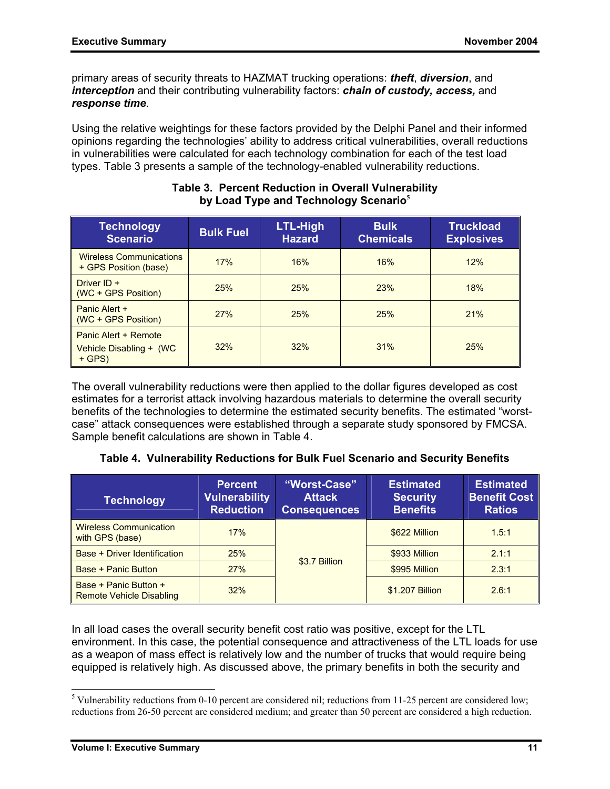primary areas of security threats to HAZMAT trucking operations: *theft*, *diversion*, and *interception* and their contributing vulnerability factors: *chain of custody, access,* and *response time*.

Using the relative weightings for these factors provided by the Delphi Panel and their informed opinions regarding the technologies' ability to address critical vulnerabilities, overall reductions in vulnerabilities were calculated for each technology combination for each of the test load types. Table 3 presents a sample of the technology-enabled vulnerability reductions.

| <b>Technology</b><br><b>Scenario</b>                        | <b>Bulk Fuel</b> | LTL-High<br><b>Hazard</b> | <b>Bulk</b><br><b>Chemicals</b> | <b>Truckload</b><br><b>Explosives</b> |
|-------------------------------------------------------------|------------------|---------------------------|---------------------------------|---------------------------------------|
| <b>Wireless Communications</b><br>+ GPS Position (base)     | 17%              | 16%                       |                                 | 12%                                   |
| Driver ID +<br>(WC + GPS Position)                          | 25%              | 25%                       | 23%                             | 18%                                   |
| Panic Alert +<br>(WC + GPS Position)                        | 27%              | 25%                       | 25%                             | 21%                                   |
| Panic Alert + Remote<br>Vehicle Disabling + (WC<br>$+$ GPS) | 32%              | 32%                       | 31%                             | 25%                                   |

#### **Table 3. Percent Reduction in Overall Vulnerability by Load Type and Technology Scenario<sup>5</sup>**

The overall vulnerability reductions were then applied to the dollar figures developed as cost estimates for a terrorist attack involving hazardous materials to determine the overall security benefits of the technologies to determine the estimated security benefits. The estimated "worstcase" attack consequences were established through a separate study sponsored by FMCSA. Sample benefit calculations are shown in Table 4.

#### **Table 4. Vulnerability Reductions for Bulk Fuel Scenario and Security Benefits**

| <b>Technology</b>                                        | <b>Percent</b><br><b>Vulnerability</b><br><b>Reduction</b> | "Worst-Case"<br><b>Attack</b><br><b>Consequences</b> | <b>Estimated</b><br><b>Security</b><br><b>Benefits</b> | <b>Estimated</b><br><b>Benefit Cost</b><br><b>Ratios</b> |
|----------------------------------------------------------|------------------------------------------------------------|------------------------------------------------------|--------------------------------------------------------|----------------------------------------------------------|
| <b>Wireless Communication</b><br>with GPS (base)         | 17%                                                        |                                                      | \$622 Million                                          | 1.5:1                                                    |
| Base + Driver Identification                             | 25%                                                        | \$3.7 Billion                                        | \$933 Million                                          | 2.1:1                                                    |
| Base + Panic Button                                      | 27%                                                        |                                                      | \$995 Million                                          | 2.3:1                                                    |
| Base + Panic Button +<br><b>Remote Vehicle Disabling</b> | 32%                                                        |                                                      | \$1.207 Billion                                        | 2.6:1                                                    |

In all load cases the overall security benefit cost ratio was positive, except for the LTL environment. In this case, the potential consequence and attractiveness of the LTL loads for use as a weapon of mass effect is relatively low and the number of trucks that would require being equipped is relatively high. As discussed above, the primary benefits in both the security and

<sup>5</sup> Vulnerability reductions from 0-10 percent are considered nil; reductions from 11-25 percent are considered low; reductions from 26-50 percent are considered medium; and greater than 50 percent are considered a high reduction.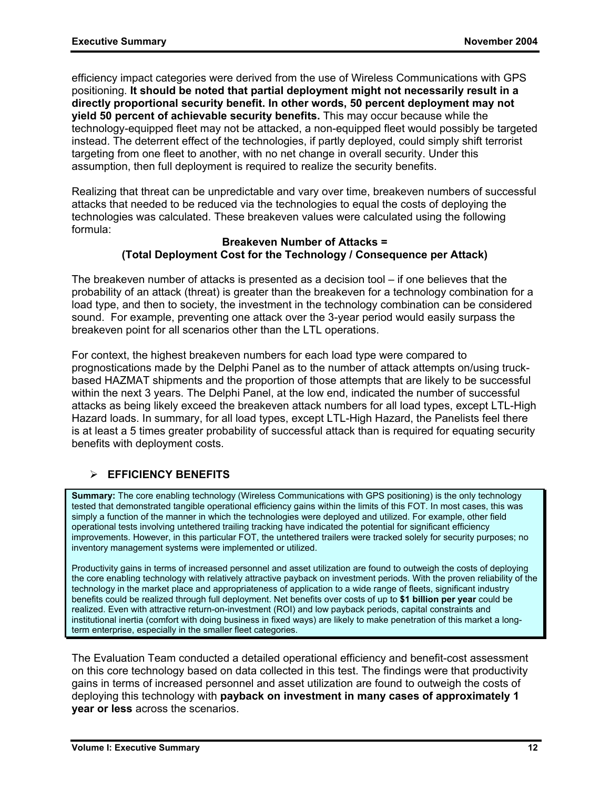efficiency impact categories were derived from the use of Wireless Communications with GPS positioning. **It should be noted that partial deployment might not necessarily result in a directly proportional security benefit. In other words, 50 percent deployment may not yield 50 percent of achievable security benefits.** This may occur because while the technology-equipped fleet may not be attacked, a non-equipped fleet would possibly be targeted instead. The deterrent effect of the technologies, if partly deployed, could simply shift terrorist targeting from one fleet to another, with no net change in overall security. Under this assumption, then full deployment is required to realize the security benefits.

Realizing that threat can be unpredictable and vary over time, breakeven numbers of successful attacks that needed to be reduced via the technologies to equal the costs of deploying the technologies was calculated. These breakeven values were calculated using the following formula:

#### **Breakeven Number of Attacks = (Total Deployment Cost for the Technology / Consequence per Attack)**

The breakeven number of attacks is presented as a decision tool – if one believes that the probability of an attack (threat) is greater than the breakeven for a technology combination for a load type, and then to society, the investment in the technology combination can be considered sound. For example, preventing one attack over the 3-year period would easily surpass the breakeven point for all scenarios other than the LTL operations.

For context, the highest breakeven numbers for each load type were compared to prognostications made by the Delphi Panel as to the number of attack attempts on/using truckbased HAZMAT shipments and the proportion of those attempts that are likely to be successful within the next 3 years. The Delphi Panel, at the low end, indicated the number of successful attacks as being likely exceed the breakeven attack numbers for all load types, except LTL-High Hazard loads. In summary, for all load types, except LTL-High Hazard, the Panelists feel there is at least a 5 times greater probability of successful attack than is required for equating security benefits with deployment costs.

## ¾ **EFFICIENCY BENEFITS**

**Summary:** The core enabling technology (Wireless Communications with GPS positioning) is the only technology tested that demonstrated tangible operational efficiency gains within the limits of this FOT. In most cases, this was simply a function of the manner in which the technologies were deployed and utilized. For example, other field operational tests involving untethered trailing tracking have indicated the potential for significant efficiency improvements. However, in this particular FOT, the untethered trailers were tracked solely for security purposes; no inventory management systems were implemented or utilized.

Productivity gains in terms of increased personnel and asset utilization are found to outweigh the costs of deploying the core enabling technology with relatively attractive payback on investment periods. With the proven reliability of the technology in the market place and appropriateness of application to a wide range of fleets, significant industry benefits could be realized through full deployment. Net benefits over costs of up to **\$1 billion per year** could be realized. Even with attractive return-on-investment (ROI) and low payback periods, capital constraints and institutional inertia (comfort with doing business in fixed ways) are likely to make penetration of this market a longterm enterprise, especially in the smaller fleet categories.

The Evaluation Team conducted a detailed operational efficiency and benefit-cost assessment on this core technology based on data collected in this test. The findings were that productivity gains in terms of increased personnel and asset utilization are found to outweigh the costs of deploying this technology with **payback on investment in many cases of approximately 1 year or less** across the scenarios.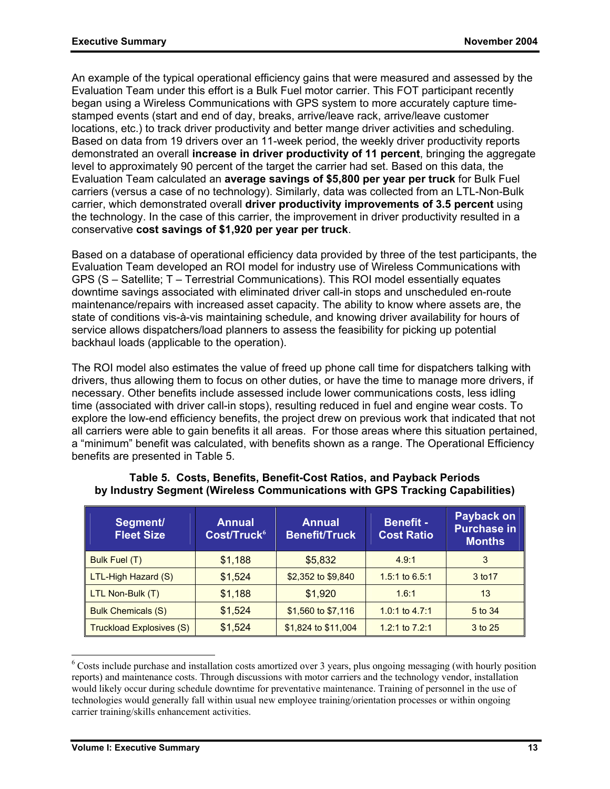An example of the typical operational efficiency gains that were measured and assessed by the Evaluation Team under this effort is a Bulk Fuel motor carrier. This FOT participant recently began using a Wireless Communications with GPS system to more accurately capture timestamped events (start and end of day, breaks, arrive/leave rack, arrive/leave customer locations, etc.) to track driver productivity and better mange driver activities and scheduling. Based on data from 19 drivers over an 11-week period, the weekly driver productivity reports demonstrated an overall **increase in driver productivity of 11 percent**, bringing the aggregate level to approximately 90 percent of the target the carrier had set. Based on this data, the Evaluation Team calculated an **average savings of \$5,800 per year per truck** for Bulk Fuel carriers (versus a case of no technology). Similarly, data was collected from an LTL-Non-Bulk carrier, which demonstrated overall **driver productivity improvements of 3.5 percent** using the technology. In the case of this carrier, the improvement in driver productivity resulted in a conservative **cost savings of \$1,920 per year per truck**.

Based on a database of operational efficiency data provided by three of the test participants, the Evaluation Team developed an ROI model for industry use of Wireless Communications with GPS (S – Satellite; T – Terrestrial Communications). This ROI model essentially equates downtime savings associated with eliminated driver call-in stops and unscheduled en-route maintenance/repairs with increased asset capacity. The ability to know where assets are, the state of conditions vis-à-vis maintaining schedule, and knowing driver availability for hours of service allows dispatchers/load planners to assess the feasibility for picking up potential backhaul loads (applicable to the operation).

The ROI model also estimates the value of freed up phone call time for dispatchers talking with drivers, thus allowing them to focus on other duties, or have the time to manage more drivers, if necessary. Other benefits include assessed include lower communications costs, less idling time (associated with driver call-in stops), resulting reduced in fuel and engine wear costs. To explore the low-end efficiency benefits, the project drew on previous work that indicated that not all carriers were able to gain benefits it all areas. For those areas where this situation pertained, a "minimum" benefit was calculated, with benefits shown as a range. The Operational Efficiency benefits are presented in Table 5.

| Segment/<br><b>Fleet Size</b>   | <b>Annual</b><br>Cost/Truck <sup>6</sup> | <b>Annual</b><br><b>Benefit/Truck</b> | <b>Benefit -</b><br><b>Cost Ratio</b> | Payback on<br><b>Purchase in</b><br><b>Months</b> |
|---------------------------------|------------------------------------------|---------------------------------------|---------------------------------------|---------------------------------------------------|
| Bulk Fuel (T)                   | \$1,188                                  | \$5,832                               | 4.9:1                                 | 3                                                 |
| LTL-High Hazard (S)             | \$1,524                                  | \$2,352 to \$9,840                    | 1.5:1 to $6.5:1$                      | 3 to 17                                           |
| LTL Non-Bulk (T)                | \$1,188                                  | \$1,920                               | 1.6:1                                 | 13                                                |
| <b>Bulk Chemicals (S)</b>       | \$1,524                                  | \$1,560 to \$7,116                    | 1.0:1 to $4.7:1$                      | 5 to 34                                           |
| <b>Truckload Explosives (S)</b> | \$1,524                                  | \$1,824 to \$11,004                   | 1.2:1 to $7.2:1$                      | 3 to 25                                           |

#### **Table 5. Costs, Benefits, Benefit-Cost Ratios, and Payback Periods by Industry Segment (Wireless Communications with GPS Tracking Capabilities)**

<sup>6</sup> Costs include purchase and installation costs amortized over 3 years, plus ongoing messaging (with hourly position reports) and maintenance costs. Through discussions with motor carriers and the technology vendor, installation would likely occur during schedule downtime for preventative maintenance. Training of personnel in the use of technologies would generally fall within usual new employee training/orientation processes or within ongoing carrier training/skills enhancement activities.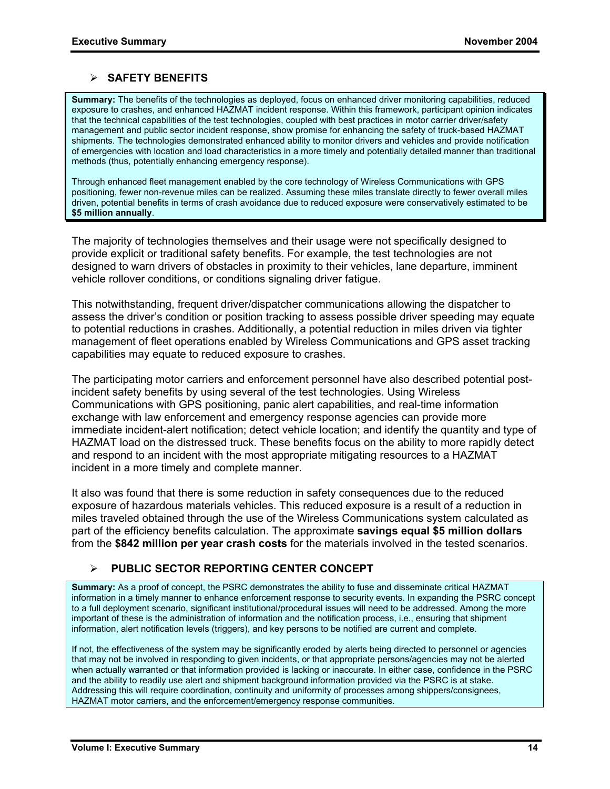#### ¾ **SAFETY BENEFITS**

**Summary:** The benefits of the technologies as deployed, focus on enhanced driver monitoring capabilities, reduced exposure to crashes, and enhanced HAZMAT incident response. Within this framework, participant opinion indicates that the technical capabilities of the test technologies, coupled with best practices in motor carrier driver/safety management and public sector incident response, show promise for enhancing the safety of truck-based HAZMAT shipments. The technologies demonstrated enhanced ability to monitor drivers and vehicles and provide notification of emergencies with location and load characteristics in a more timely and potentially detailed manner than traditional methods (thus, potentially enhancing emergency response).

Through enhanced fleet management enabled by the core technology of Wireless Communications with GPS positioning, fewer non-revenue miles can be realized. Assuming these miles translate directly to fewer overall miles driven, potential benefits in terms of crash avoidance due to reduced exposure were conservatively estimated to be **\$5 million annually**.

The majority of technologies themselves and their usage were not specifically designed to provide explicit or traditional safety benefits. For example, the test technologies are not designed to warn drivers of obstacles in proximity to their vehicles, lane departure, imminent vehicle rollover conditions, or conditions signaling driver fatigue.

This notwithstanding, frequent driver/dispatcher communications allowing the dispatcher to assess the driver's condition or position tracking to assess possible driver speeding may equate to potential reductions in crashes. Additionally, a potential reduction in miles driven via tighter management of fleet operations enabled by Wireless Communications and GPS asset tracking capabilities may equate to reduced exposure to crashes.

The participating motor carriers and enforcement personnel have also described potential postincident safety benefits by using several of the test technologies. Using Wireless Communications with GPS positioning, panic alert capabilities, and real-time information exchange with law enforcement and emergency response agencies can provide more immediate incident-alert notification; detect vehicle location; and identify the quantity and type of HAZMAT load on the distressed truck. These benefits focus on the ability to more rapidly detect and respond to an incident with the most appropriate mitigating resources to a HAZMAT incident in a more timely and complete manner.

It also was found that there is some reduction in safety consequences due to the reduced exposure of hazardous materials vehicles. This reduced exposure is a result of a reduction in miles traveled obtained through the use of the Wireless Communications system calculated as part of the efficiency benefits calculation. The approximate **savings equal \$5 million dollars** from the **\$842 million per year crash costs** for the materials involved in the tested scenarios.

#### ¾ **PUBLIC SECTOR REPORTING CENTER CONCEPT**

**Summary:** As a proof of concept, the PSRC demonstrates the ability to fuse and disseminate critical HAZMAT information in a timely manner to enhance enforcement response to security events. In expanding the PSRC concept to a full deployment scenario, significant institutional/procedural issues will need to be addressed. Among the more important of these is the administration of information and the notification process, i.e., ensuring that shipment information, alert notification levels (triggers), and key persons to be notified are current and complete.

If not, the effectiveness of the system may be significantly eroded by alerts being directed to personnel or agencies that may not be involved in responding to given incidents, or that appropriate persons/agencies may not be alerted when actually warranted or that information provided is lacking or inaccurate. In either case, confidence in the PSRC and the ability to readily use alert and shipment background information provided via the PSRC is at stake. Addressing this will require coordination, continuity and uniformity of processes among shippers/consignees, HAZMAT motor carriers, and the enforcement/emergency response communities.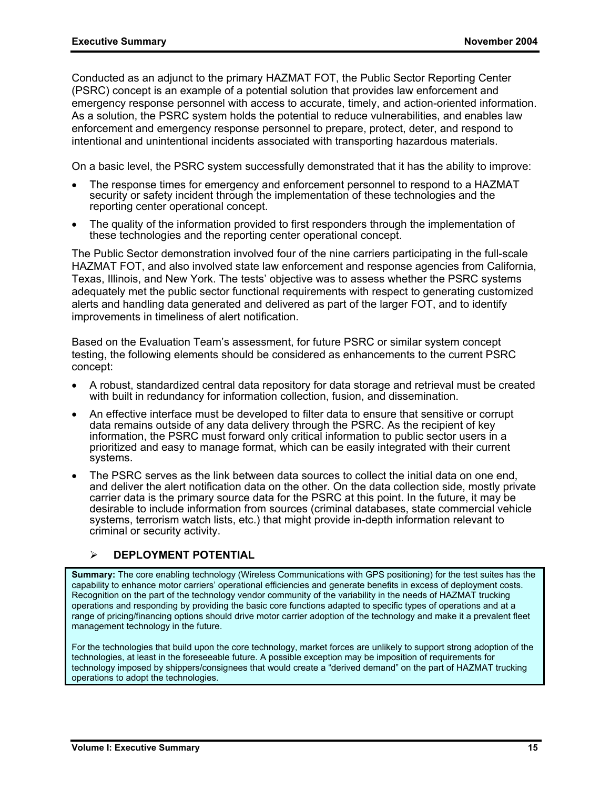Conducted as an adjunct to the primary HAZMAT FOT, the Public Sector Reporting Center (PSRC) concept is an example of a potential solution that provides law enforcement and emergency response personnel with access to accurate, timely, and action-oriented information. As a solution, the PSRC system holds the potential to reduce vulnerabilities, and enables law enforcement and emergency response personnel to prepare, protect, deter, and respond to intentional and unintentional incidents associated with transporting hazardous materials.

On a basic level, the PSRC system successfully demonstrated that it has the ability to improve:

- The response times for emergency and enforcement personnel to respond to a HAZMAT security or safety incident through the implementation of these technologies and the reporting center operational concept.
- The quality of the information provided to first responders through the implementation of these technologies and the reporting center operational concept.

The Public Sector demonstration involved four of the nine carriers participating in the full-scale HAZMAT FOT, and also involved state law enforcement and response agencies from California, Texas, Illinois, and New York. The tests' objective was to assess whether the PSRC systems adequately met the public sector functional requirements with respect to generating customized alerts and handling data generated and delivered as part of the larger FOT, and to identify improvements in timeliness of alert notification.

Based on the Evaluation Team's assessment, for future PSRC or similar system concept testing, the following elements should be considered as enhancements to the current PSRC concept:

- A robust, standardized central data repository for data storage and retrieval must be created with built in redundancy for information collection, fusion, and dissemination.
- An effective interface must be developed to filter data to ensure that sensitive or corrupt data remains outside of any data delivery through the PSRC. As the recipient of key information, the PSRC must forward only critical information to public sector users in a prioritized and easy to manage format, which can be easily integrated with their current systems.
- The PSRC serves as the link between data sources to collect the initial data on one end, and deliver the alert notification data on the other. On the data collection side, mostly private carrier data is the primary source data for the PSRC at this point. In the future, it may be desirable to include information from sources (criminal databases, state commercial vehicle systems, terrorism watch lists, etc.) that might provide in-depth information relevant to criminal or security activity.

## ¾ **DEPLOYMENT POTENTIAL**

**Summary:** The core enabling technology (Wireless Communications with GPS positioning) for the test suites has the capability to enhance motor carriers' operational efficiencies and generate benefits in excess of deployment costs. Recognition on the part of the technology vendor community of the variability in the needs of HAZMAT trucking operations and responding by providing the basic core functions adapted to specific types of operations and at a range of pricing/financing options should drive motor carrier adoption of the technology and make it a prevalent fleet management technology in the future.

For the technologies that build upon the core technology, market forces are unlikely to support strong adoption of the technologies, at least in the foreseeable future. A possible exception may be imposition of requirements for technology imposed by shippers/consignees that would create a "derived demand" on the part of HAZMAT trucking operations to adopt the technologies.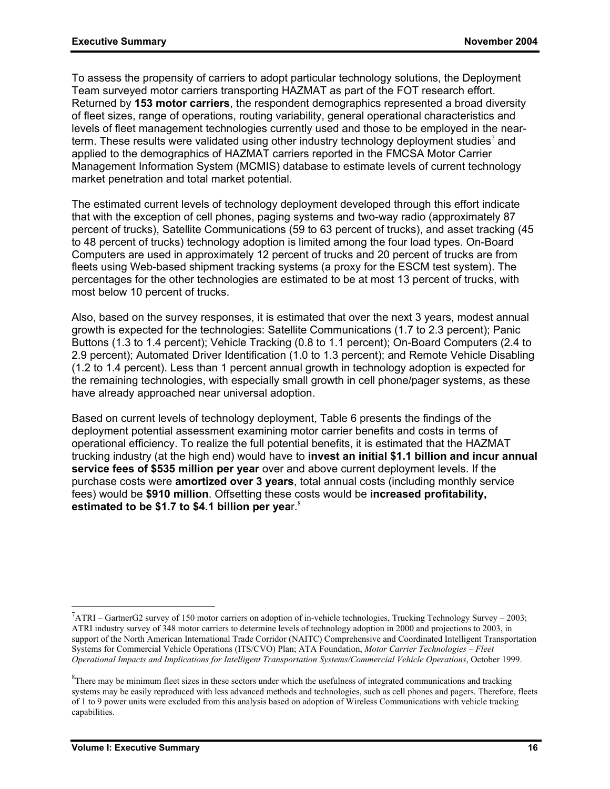To assess the propensity of carriers to adopt particular technology solutions, the Deployment Team surveyed motor carriers transporting HAZMAT as part of the FOT research effort. Returned by **153 motor carriers**, the respondent demographics represented a broad diversity of fleet sizes, range of operations, routing variability, general operational characteristics and levels of fleet management technologies currently used and those to be employed in the nearterm. These results were validated using other industry technology deployment studies<sup>7</sup> and applied to the demographics of HAZMAT carriers reported in the FMCSA Motor Carrier Management Information System (MCMIS) database to estimate levels of current technology market penetration and total market potential.

The estimated current levels of technology deployment developed through this effort indicate that with the exception of cell phones, paging systems and two-way radio (approximately 87 percent of trucks), Satellite Communications (59 to 63 percent of trucks), and asset tracking (45 to 48 percent of trucks) technology adoption is limited among the four load types. On-Board Computers are used in approximately 12 percent of trucks and 20 percent of trucks are from fleets using Web-based shipment tracking systems (a proxy for the ESCM test system). The percentages for the other technologies are estimated to be at most 13 percent of trucks, with most below 10 percent of trucks.

Also, based on the survey responses, it is estimated that over the next 3 years, modest annual growth is expected for the technologies: Satellite Communications (1.7 to 2.3 percent); Panic Buttons (1.3 to 1.4 percent); Vehicle Tracking (0.8 to 1.1 percent); On-Board Computers (2.4 to 2.9 percent); Automated Driver Identification (1.0 to 1.3 percent); and Remote Vehicle Disabling (1.2 to 1.4 percent). Less than 1 percent annual growth in technology adoption is expected for the remaining technologies, with especially small growth in cell phone/pager systems, as these have already approached near universal adoption.

Based on current levels of technology deployment, Table 6 presents the findings of the deployment potential assessment examining motor carrier benefits and costs in terms of operational efficiency. To realize the full potential benefits, it is estimated that the HAZMAT trucking industry (at the high end) would have to **invest an initial \$1.1 billion and incur annual service fees of \$535 million per year** over and above current deployment levels. If the purchase costs were **amortized over 3 years**, total annual costs (including monthly service fees) would be **\$910 million**. Offsetting these costs would be **increased profitability, estimated to be \$1.7 to \$4.1 billion per yea**r.<sup>8</sup>

 $^7$ ATRI – GartnerG2 survey of 150 motor carriers on adoption of in-vehicle technologies, Trucking Technology Survey – 2003; ATRI industry survey of 348 motor carriers to determine levels of technology adoption in 2000 and projections to 2003, in support of the North American International Trade Corridor (NAITC) Comprehensive and Coordinated Intelligent Transportation Systems for Commercial Vehicle Operations (ITS/CVO) Plan; ATA Foundation, *Motor Carrier Technologies – Fleet Operational Impacts and Implications for Intelligent Transportation Systems/Commercial Vehicle Operations*, October 1999.

 ${}^{8}$ There may be minimum fleet sizes in these sectors under which the usefulness of integrated communications and tracking systems may be easily reproduced with less advanced methods and technologies, such as cell phones and pagers. Therefore, fleets of 1 to 9 power units were excluded from this analysis based on adoption of Wireless Communications with vehicle tracking capabilities.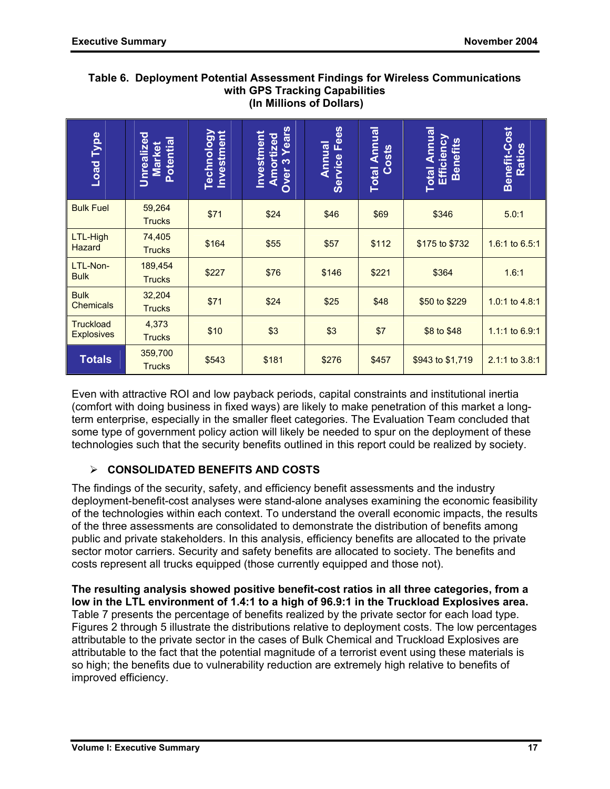| Load Type                                                                                                                                                                                                                                                                                                                                                                                                                                                                                                                                                                                                                                                                                                                          | Unrealized<br>Potential<br><b>Market</b> | <b>Technology</b><br>Investment                      | <b>Amortized</b><br>Over 3 Years<br>Investment | <b>Annual</b><br>Service Fees | <b>Total Annual</b><br><b>Costs</b> | <b>Total Annual</b><br>Efficiency<br><b>Benefits</b> | Benefit-Cost<br>Ratios |
|------------------------------------------------------------------------------------------------------------------------------------------------------------------------------------------------------------------------------------------------------------------------------------------------------------------------------------------------------------------------------------------------------------------------------------------------------------------------------------------------------------------------------------------------------------------------------------------------------------------------------------------------------------------------------------------------------------------------------------|------------------------------------------|------------------------------------------------------|------------------------------------------------|-------------------------------|-------------------------------------|------------------------------------------------------|------------------------|
| <b>Bulk Fuel</b>                                                                                                                                                                                                                                                                                                                                                                                                                                                                                                                                                                                                                                                                                                                   | 59,264<br><b>Trucks</b>                  | \$71                                                 | \$24                                           | \$46                          | \$69                                | \$346                                                | 5.0:1                  |
| LTL-High<br><b>Hazard</b>                                                                                                                                                                                                                                                                                                                                                                                                                                                                                                                                                                                                                                                                                                          | 74,405<br><b>Trucks</b>                  | \$164                                                | \$55                                           | \$57                          | \$112                               | \$175 to \$732                                       | 1.6:1 to 6.5:1         |
| LTL-Non-<br><b>Bulk</b>                                                                                                                                                                                                                                                                                                                                                                                                                                                                                                                                                                                                                                                                                                            | 189,454<br><b>Trucks</b>                 | \$227                                                | \$76                                           | \$146                         | \$221                               | \$364                                                | 1.6:1                  |
| <b>Bulk</b><br><b>Chemicals</b>                                                                                                                                                                                                                                                                                                                                                                                                                                                                                                                                                                                                                                                                                                    | 32,204<br><b>Trucks</b>                  | \$71                                                 | \$24                                           | \$25                          | \$48                                | \$50 to \$229                                        | 1.0:1 to 4.8:1         |
| <b>Truckload</b><br><b>Explosives</b>                                                                                                                                                                                                                                                                                                                                                                                                                                                                                                                                                                                                                                                                                              | 4,373<br><b>Trucks</b>                   | \$10                                                 | \$3                                            | \$3                           | \$7                                 | \$8 to \$48                                          | 1.1:1 to 6.9:1         |
| <b>Totals</b>                                                                                                                                                                                                                                                                                                                                                                                                                                                                                                                                                                                                                                                                                                                      | 359,700<br><b>Trucks</b>                 | \$543<br>\$181<br>\$276<br>\$457<br>\$943 to \$1,719 |                                                |                               |                                     | 2.1:1 to 3.8:1                                       |                        |
| Even with attractive ROI and low payback periods, capital constraints and institutional inertia<br>(comfort with doing business in fixed ways) are likely to make penetration of this market a long-<br>term enterprise, especially in the smaller fleet categories. The Evaluation Team concluded that<br>some type of government policy action will likely be needed to spur on the deployment of these<br>technologies such that the security benefits outlined in this report could be realized by society.                                                                                                                                                                                                                    |                                          |                                                      |                                                |                               |                                     |                                                      |                        |
| <b>CONSOLIDATED BENEFITS AND COSTS</b><br>≻                                                                                                                                                                                                                                                                                                                                                                                                                                                                                                                                                                                                                                                                                        |                                          |                                                      |                                                |                               |                                     |                                                      |                        |
| The findings of the security, safety, and efficiency benefit assessments and the industry<br>deployment-benefit-cost analyses were stand-alone analyses examining the economic feasibility<br>of the technologies within each context. To understand the overall economic impacts, the results<br>of the three assessments are consolidated to demonstrate the distribution of benefits among<br>public and private stakeholders. In this analysis, efficiency benefits are allocated to the private<br>sector motor carriers. Security and safety benefits are allocated to society. The benefits and<br>costs represent all trucks equipped (those currently equipped and those not).                                            |                                          |                                                      |                                                |                               |                                     |                                                      |                        |
| The resulting analysis showed positive benefit-cost ratios in all three categories, from a<br>low in the LTL environment of 1.4:1 to a high of 96.9:1 in the Truckload Explosives area.<br>Table 7 presents the percentage of benefits realized by the private sector for each load type.<br>Figures 2 through 5 illustrate the distributions relative to deployment costs. The low percentages<br>attributable to the private sector in the cases of Bulk Chemical and Truckload Explosives are<br>attributable to the fact that the potential magnitude of a terrorist event using these materials is<br>so high; the benefits due to vulnerability reduction are extremely high relative to benefits of<br>improved efficiency. |                                          |                                                      |                                                |                               |                                     |                                                      |                        |

#### **Table 6. Deployment Potential Assessment Findings for Wireless Communications with GPS Tracking Capabilities (In Millions of Dollars)**

# ¾ **CONSOLIDATED BENEFITS AND COSTS**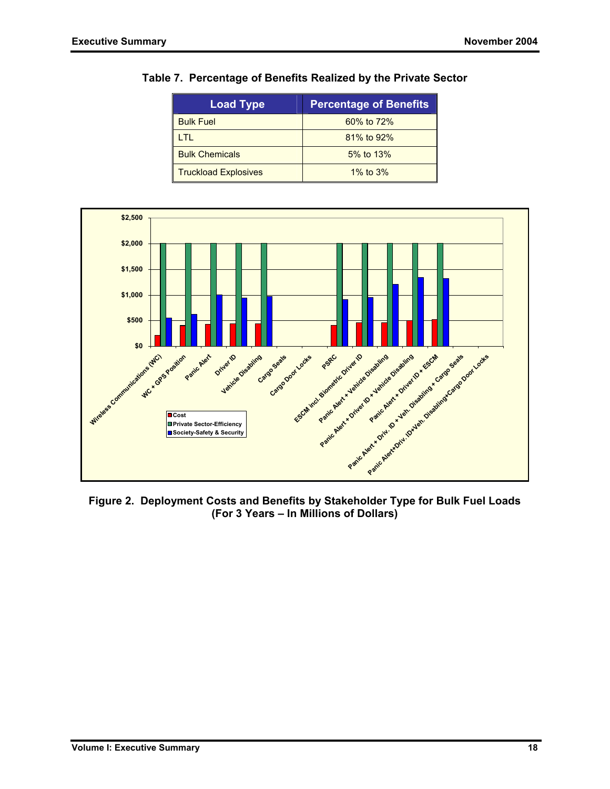| <b>Load Type</b>            | <b>Percentage of Benefits</b> |
|-----------------------------|-------------------------------|
| <b>Bulk Fuel</b>            | 60% to 72%                    |
| TL                          | 81% to 92%                    |
| <b>Bulk Chemicals</b>       | 5% to 13%                     |
| <b>Truckload Explosives</b> | 1% to $3\%$                   |

#### **Table 7. Percentage of Benefits Realized by the Private Sector**



**Figure 2. Deployment Costs and Benefits by Stakeholder Type for Bulk Fuel Loads (For 3 Years – In Millions of Dollars)**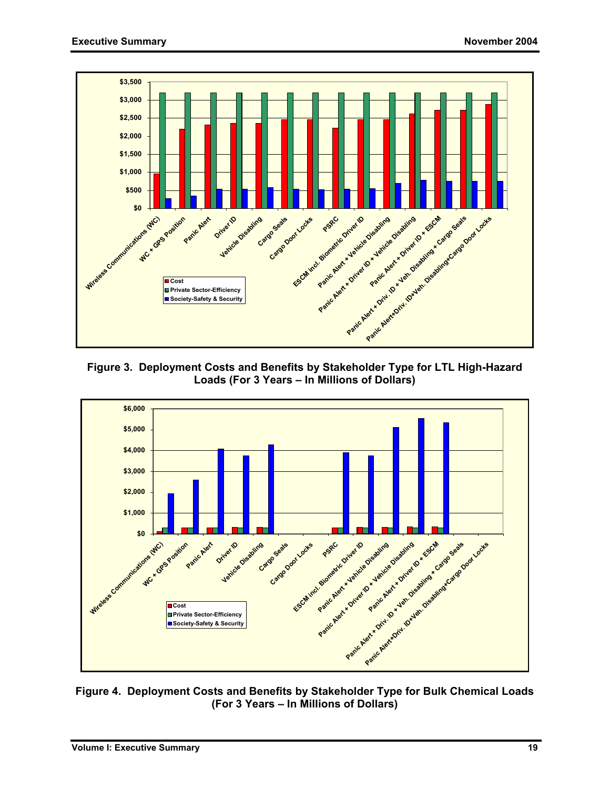

**Figure 3. Deployment Costs and Benefits by Stakeholder Type for LTL High-Hazard Loads (For 3 Years – In Millions of Dollars)** 



**Figure 4. Deployment Costs and Benefits by Stakeholder Type for Bulk Chemical Loads (For 3 Years – In Millions of Dollars)**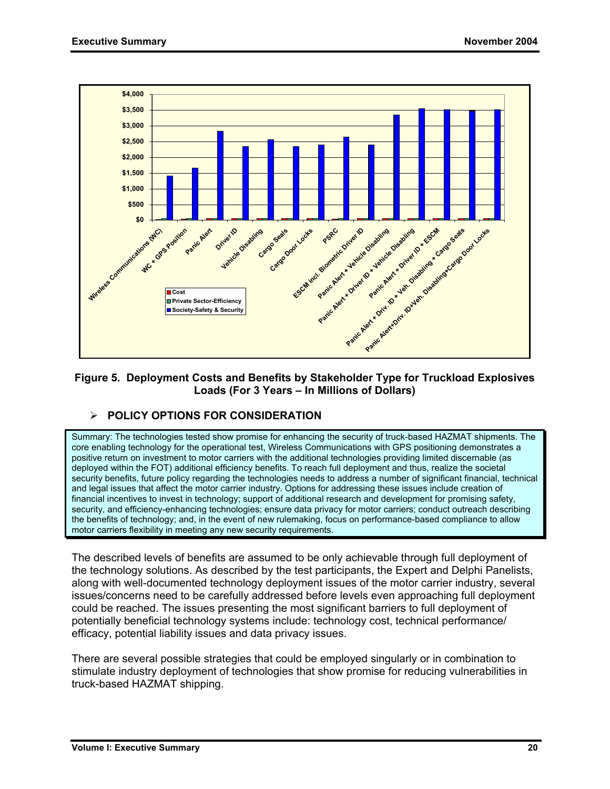

#### **Figure 5. Deployment Costs and Benefits by Stakeholder Type for Truckload Explosives Loads (For 3 Years – In Millions of Dollars)**

## ¾ **POLICY OPTIONS FOR CONSIDERATION**

Summary: The technologies tested show promise for enhancing the security of truck-based HAZMAT shipments. The core enabling technology for the operational test, Wireless Communications with GPS positioning demonstrates a positive return on investment to motor carriers with the additional technologies providing limited discernable (as deployed within the FOT) additional efficiency benefits. To reach full deployment and thus, realize the societal security benefits, future policy regarding the technologies needs to address a number of significant financial, technical and legal issues that affect the motor carrier industry. Options for addressing these issues include creation of financial incentives to invest in technology; support of additional research and development for promising safety, security, and efficiency-enhancing technologies; ensure data privacy for motor carriers; conduct outreach describing the benefits of technology; and, in the event of new rulemaking, focus on performance-based compliance to allow motor carriers flexibility in meeting any new security requirements.

The described levels of benefits are assumed to be only achievable through full deployment of the technology solutions. As described by the test participants, the Expert and Delphi Panelists, along with well-documented technology deployment issues of the motor carrier industry, several issues/concerns need to be carefully addressed before levels even approaching full deployment could be reached. The issues presenting the most significant barriers to full deployment of potentially beneficial technology systems include: technology cost, technical performance/ efficacy, potential liability issues and data privacy issues.

There are several possible strategies that could be employed singularly or in combination to stimulate industry deployment of technologies that show promise for reducing vulnerabilities in truck-based HAZMAT shipping.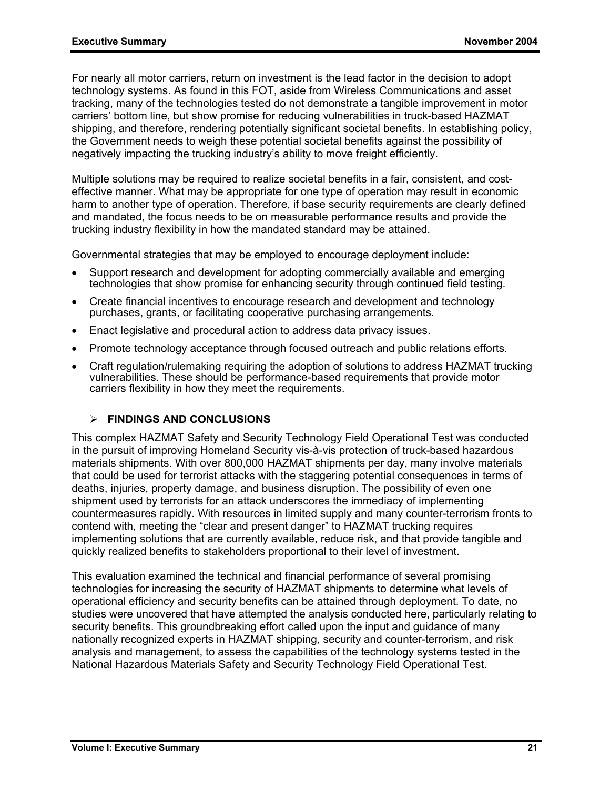For nearly all motor carriers, return on investment is the lead factor in the decision to adopt technology systems. As found in this FOT, aside from Wireless Communications and asset tracking, many of the technologies tested do not demonstrate a tangible improvement in motor carriers' bottom line, but show promise for reducing vulnerabilities in truck-based HAZMAT shipping, and therefore, rendering potentially significant societal benefits. In establishing policy, the Government needs to weigh these potential societal benefits against the possibility of negatively impacting the trucking industry's ability to move freight efficiently.

Multiple solutions may be required to realize societal benefits in a fair, consistent, and costeffective manner. What may be appropriate for one type of operation may result in economic harm to another type of operation. Therefore, if base security requirements are clearly defined and mandated, the focus needs to be on measurable performance results and provide the trucking industry flexibility in how the mandated standard may be attained.

Governmental strategies that may be employed to encourage deployment include:

- Support research and development for adopting commercially available and emerging technologies that show promise for enhancing security through continued field testing.
- Create financial incentives to encourage research and development and technology purchases, grants, or facilitating cooperative purchasing arrangements.
- Enact legislative and procedural action to address data privacy issues.
- Promote technology acceptance through focused outreach and public relations efforts.
- Craft regulation/rulemaking requiring the adoption of solutions to address HAZMAT trucking vulnerabilities. These should be performance-based requirements that provide motor carriers flexibility in how they meet the requirements.

#### ¾ **FINDINGS AND CONCLUSIONS**

This complex HAZMAT Safety and Security Technology Field Operational Test was conducted in the pursuit of improving Homeland Security vis-à-vis protection of truck-based hazardous materials shipments. With over 800,000 HAZMAT shipments per day, many involve materials that could be used for terrorist attacks with the staggering potential consequences in terms of deaths, injuries, property damage, and business disruption. The possibility of even one shipment used by terrorists for an attack underscores the immediacy of implementing countermeasures rapidly. With resources in limited supply and many counter-terrorism fronts to contend with, meeting the "clear and present danger" to HAZMAT trucking requires implementing solutions that are currently available, reduce risk, and that provide tangible and quickly realized benefits to stakeholders proportional to their level of investment.

This evaluation examined the technical and financial performance of several promising technologies for increasing the security of HAZMAT shipments to determine what levels of operational efficiency and security benefits can be attained through deployment. To date, no studies were uncovered that have attempted the analysis conducted here, particularly relating to security benefits. This groundbreaking effort called upon the input and guidance of many nationally recognized experts in HAZMAT shipping, security and counter-terrorism, and risk analysis and management, to assess the capabilities of the technology systems tested in the National Hazardous Materials Safety and Security Technology Field Operational Test.